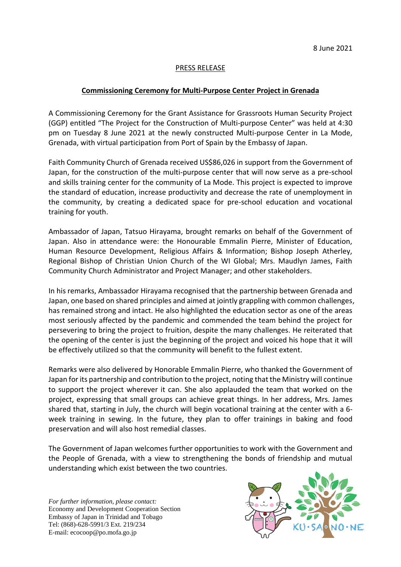## PRESS RELEASE

## **Commissioning Ceremony for Multi-Purpose Center Project in Grenada**

A Commissioning Ceremony for the Grant Assistance for Grassroots Human Security Project (GGP) entitled "The Project for the Construction of Multi-purpose Center" was held at 4:30 pm on Tuesday 8 June 2021 at the newly constructed Multi-purpose Center in La Mode, Grenada, with virtual participation from Port of Spain by the Embassy of Japan.

Faith Community Church of Grenada received US\$86,026 in support from the Government of Japan, for the construction of the multi-purpose center that will now serve as a pre-school and skills training center for the community of La Mode. This project is expected to improve the standard of education, increase productivity and decrease the rate of unemployment in the community, by creating a dedicated space for pre-school education and vocational training for youth.

Ambassador of Japan, Tatsuo Hirayama, brought remarks on behalf of the Government of Japan. Also in attendance were: the Honourable Emmalin Pierre, Minister of Education, Human Resource Development, Religious Affairs & Information; Bishop Joseph Atherley, Regional Bishop of Christian Union Church of the WI Global; Mrs. Maudlyn James, Faith Community Church Administrator and Project Manager; and other stakeholders.

In his remarks, Ambassador Hirayama recognised that the partnership between Grenada and Japan, one based on shared principles and aimed at jointly grappling with common challenges, has remained strong and intact. He also highlighted the education sector as one of the areas most seriously affected by the pandemic and commended the team behind the project for persevering to bring the project to fruition, despite the many challenges. He reiterated that the opening of the center is just the beginning of the project and voiced his hope that it will be effectively utilized so that the community will benefit to the fullest extent.

Remarks were also delivered by Honorable Emmalin Pierre, who thanked the Government of Japan for its partnership and contribution to the project, noting that the Ministry will continue to support the project wherever it can. She also applauded the team that worked on the project, expressing that small groups can achieve great things. In her address, Mrs. James shared that, starting in July, the church will begin vocational training at the center with a 6 week training in sewing. In the future, they plan to offer trainings in baking and food preservation and will also host remedial classes.

The Government of Japan welcomes further opportunities to work with the Government and the People of Grenada, with a view to strengthening the bonds of friendship and mutual understanding which exist between the two countries.

*For further information, please contact:* Economy and Development Cooperation Section Embassy of Japan in Trinidad and Tobago Tel: (868)-628-5991/3 Ext. 219/234 E-mail: ecocoop@po.mofa.go.jp